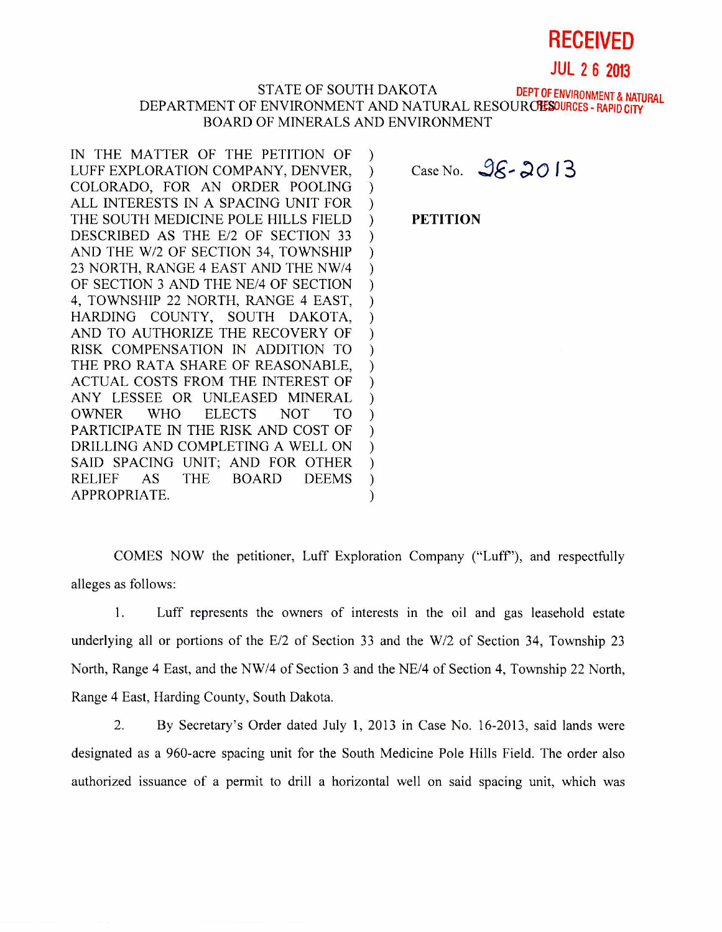## **RECEIVED**

**JUL 2 6 2013** 

## STATE OF SOUTH DAKOTA DEPT OF ENVIRONMENT & NATURAL DEPARTMENT OF ENVIRONMENT AND NATURAL RESOURCES DURCES - RAPID CITY BOARD OF MINERALS AND ENVIRONMENT

 $\mathcal{E}$  $\mathcal{L}$  $\mathcal{C}$  $\mathcal{L}$  $\mathcal{E}$ 

 $\mathcal{C}$  $\mathcal{E}$ 

 $\mathcal{E}$  $\mathcal{E}$  $\mathcal{E}$  $\mathcal{E}$  $\mathcal{E}$  $\mathcal{E}$ 

IN THE MATTER OF THE PETITION OF  $\mathcal{E}$ LUFF EXPLORATION COMPANY, DENVER,  $\mathcal{L}$ COLORADO, FOR AN ORDER POOLING  $\mathcal{L}$ ALL INTERESTS IN A SPACING UNIT FOR  $\mathcal{L}$ THE SOUTH MEDICINE POLE HILLS FIELD DESCRIBED AS THE E/2 OF SECTION 33 AND THE W/2 OF SECTION 34, TOWNSHIP 23 NORTH, RANGE 4 EAST AND THE NW/4 OF SECTION 3 AND THE NE/4 OF SECTION 4, TOWNSHIP 22 NORTH, RANGE 4 EAST, HARDING COUNTY, SOUTH DAKOTA, AND TO AUTHORIZE THE RECOVERY OF RISK COMPENSATION IN ADDITION TO THE PRO RATA SHARE OF REASONABLE, ACTUAL COSTS FROM THE INTEREST OF ANY LESSEE OR UNLEASED MINERAL OWNER WHO ELECTS NOT TO PARTICIPATE IN THE RISK AND COST OF DRILLING AND COMPLETING A WELL ON SAID SPACING UNIT; AND FOR OTHER RELIEF AS THE BOARD DEEMS APPROPRIATE.

Case No.  $96 - 2013$ 

**PETITION** 

COMES NOW the petitioner, Luff Exploration Company ("Luff'), and respectfully alleges as follows:

1. Luff represents the owners of interests in the oil and gas leasehold estate underlying all or portions of the E/2 of Section 33 and the W/2 of Section 34, Township 23 North, Range 4 East, and the NW/4 of Section 3 and the NE/4 of Section 4, Township 22 North, Range 4 East, Harding County, South Dakota.

2. By Secretary's Order dated July 1, 2013 in Case No. 16-2013, said lands were designated as a 960-acre spacing unit for the South Medicine Pole Hills Field. The order also authorized issuance of a permit to drill a horizontal well on said spacing unit, which was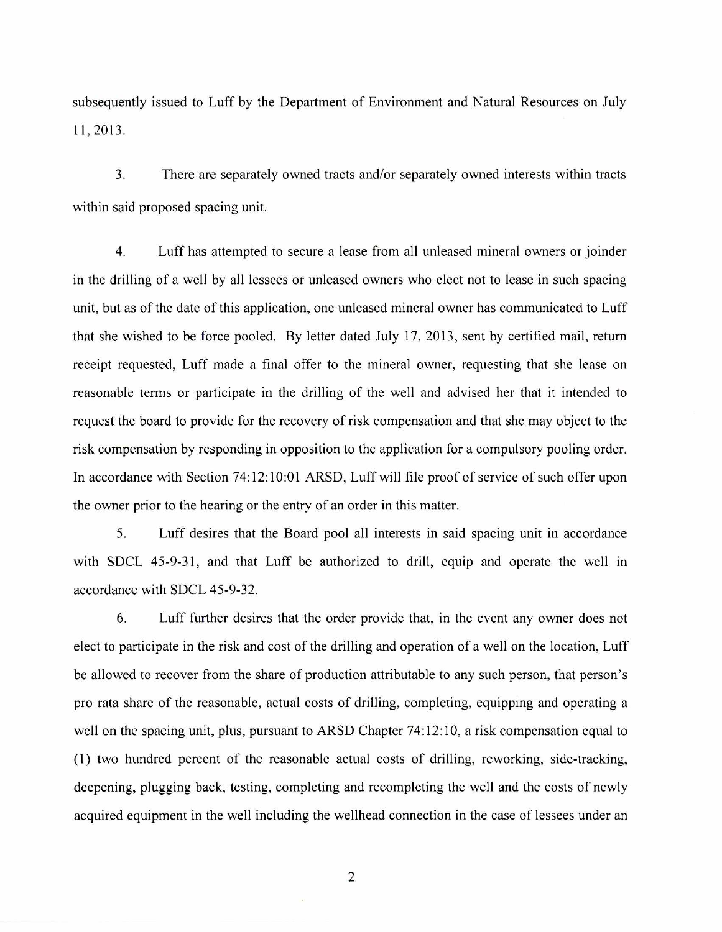subsequently issued to Luff by the Department of Environment and Natural Resources on July 11, 2013.

3. There are separately owned tracts and/or separately owned interests within tracts within said proposed spacing unit.

4. Luff has attempted to secure a lease from all unleased mineral owners or joinder in the drilling of a well by all lessees or unleased owners who elect not to lease in such spacing unit, but as of the date of this application, one unleased mineral owner has communicated to Luff that she wished to be force pooled. By letter dated July 17, 2013, sent by certified mail, return receipt requested, Luff made a final offer to the mineral owner, requesting that she lease on reasonable terms or participate in the drilling of the well and advised her that it intended to request the board to provide for the recovery of risk compensation and that she may object to the risk compensation by responding in opposition to the application for a compulsory pooling order. In accordance with Section 74:12:10:01 ARSD, Luff will file proof of service of such offer upon the owner prior to the hearing or the entry of an order in this matter.

5. Luff desires that the Board pool all interests in said spacing unit in accordance with SDCL 45-9-31, and that Luff be authorized to drill, equip and operate the well in accordance with SDCL 45-9-32.

6. Luff further desires that the order provide that, in the event any owner does not elect to participate in the risk and cost of the drilling and operation of a well on the location, Luff be allowed to recover from the share of production attributable to any such person, that person's pro rata share of the reasonable, actual costs of drilling, completing, equipping and operating a well on the spacing unit, plus, pursuant to ARSD Chapter 74:12:10, a risk compensation equal to (1) two hundred percent of the reasonable actual costs of drilling, reworking, side-tracking, deepening, plugging back, testing, completing and recompleting the well and the costs of newly acquired equipment in the well including the wellhead connection in the case of lessees under an

2